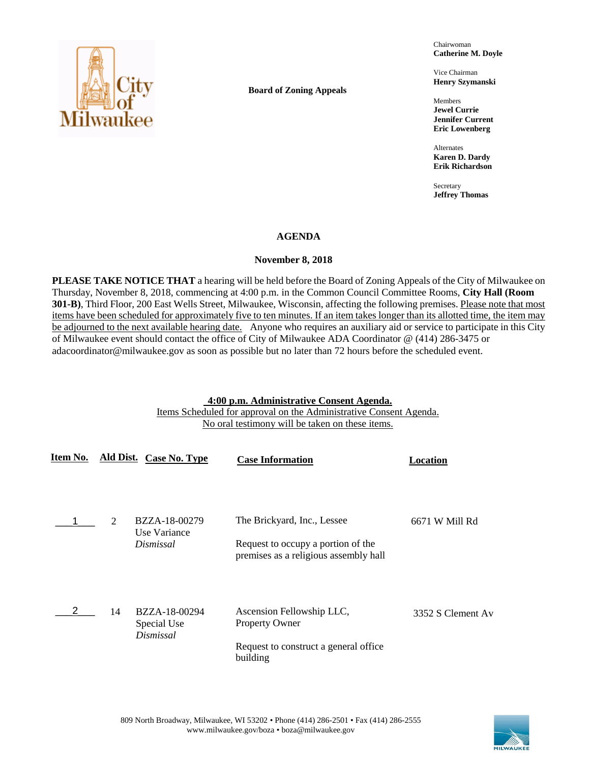

**Board of Zoning Appeals**

Chairwoman **Catherine M. Doyle**

Vice Chairman **Henry Szymanski**

Members **Jewel Currie Jennifer Current Eric Lowenberg**

Alternates **Karen D. Dardy Erik Richardson**

Secretary **Jeffrey Thomas**

## **AGENDA**

## **November 8, 2018**

**PLEASE TAKE NOTICE THAT** a hearing will be held before the Board of Zoning Appeals of the City of Milwaukee on Thursday, November 8, 2018, commencing at 4:00 p.m. in the Common Council Committee Rooms, **City Hall (Room 301-B)**, Third Floor, 200 East Wells Street, Milwaukee, Wisconsin, affecting the following premises. Please note that most items have been scheduled for approximately five to ten minutes. If an item takes longer than its allotted time, the item may be adjourned to the next available hearing date. Anyone who requires an auxiliary aid or service to participate in this City of Milwaukee event should contact the office of City of Milwaukee ADA Coordinator @ (414) 286-3475 or adacoordinator@milwaukee.gov as soon as possible but no later than 72 hours before the scheduled event.

## **4:00 p.m. Administrative Consent Agenda.**

Items Scheduled for approval on the Administrative Consent Agenda. No oral testimony will be taken on these items.

| Item No. |    | Ald Dist. Case No. Type                    | <b>Case Information</b>                                                                                    | Location          |
|----------|----|--------------------------------------------|------------------------------------------------------------------------------------------------------------|-------------------|
|          | 2  | BZZA-18-00279<br>Use Variance<br>Dismissal | The Brickyard, Inc., Lessee<br>Request to occupy a portion of the<br>premises as a religious assembly hall | 6671 W Mill Rd    |
|          | 14 | BZZA-18-00294<br>Special Use<br>Dismissal  | Ascension Fellowship LLC,<br><b>Property Owner</b><br>Request to construct a general office<br>building    | 3352 S Clement Av |

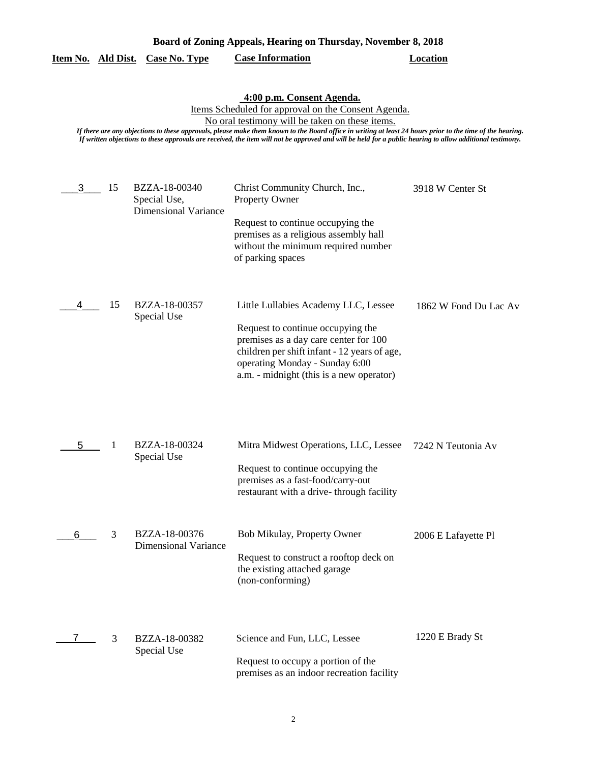| Board of Zoning Appeals, Hearing on Thursday, November 8, 2018 |    |                                                              |                                                                                                                                                                                                                                                                                                                                                                                                                                                               |                       |
|----------------------------------------------------------------|----|--------------------------------------------------------------|---------------------------------------------------------------------------------------------------------------------------------------------------------------------------------------------------------------------------------------------------------------------------------------------------------------------------------------------------------------------------------------------------------------------------------------------------------------|-----------------------|
| Item No. Ald Dist.                                             |    | <b>Case No. Type</b>                                         | <b>Case Information</b>                                                                                                                                                                                                                                                                                                                                                                                                                                       | <b>Location</b>       |
|                                                                |    |                                                              | 4:00 p.m. Consent Agenda.<br>Items Scheduled for approval on the Consent Agenda.<br>No oral testimony will be taken on these items.<br>If there are any objections to these approvals, please make them known to the Board office in writing at least 24 hours prior to the time of the hearing.<br>If written objections to these approvals are received, the item will not be approved and will be held for a public hearing to allow additional testimony. |                       |
| 3                                                              | 15 | BZZA-18-00340<br>Special Use,<br><b>Dimensional Variance</b> | Christ Community Church, Inc.,<br><b>Property Owner</b><br>Request to continue occupying the<br>premises as a religious assembly hall<br>without the minimum required number<br>of parking spaces                                                                                                                                                                                                                                                             | 3918 W Center St      |
| 4                                                              | 15 | BZZA-18-00357<br>Special Use                                 | Little Lullabies Academy LLC, Lessee<br>Request to continue occupying the<br>premises as a day care center for 100<br>children per shift infant - 12 years of age,<br>operating Monday - Sunday 6:00<br>a.m. - midnight (this is a new operator)                                                                                                                                                                                                              | 1862 W Fond Du Lac Av |
| 5                                                              | 1  | BZZA-18-00324<br>Special Use                                 | Mitra Midwest Operations, LLC, Lessee<br>Request to continue occupying the<br>premises as a fast-food/carry-out<br>restaurant with a drive-through facility                                                                                                                                                                                                                                                                                                   | 7242 N Teutonia Av    |
| 6                                                              | 3  | BZZA-18-00376<br><b>Dimensional Variance</b>                 | Bob Mikulay, Property Owner<br>Request to construct a rooftop deck on<br>the existing attached garage<br>(non-conforming)                                                                                                                                                                                                                                                                                                                                     | 2006 E Lafayette Pl   |
|                                                                | 3  | BZZA-18-00382<br>Special Use                                 | Science and Fun, LLC, Lessee<br>Request to occupy a portion of the<br>premises as an indoor recreation facility                                                                                                                                                                                                                                                                                                                                               | 1220 E Brady St       |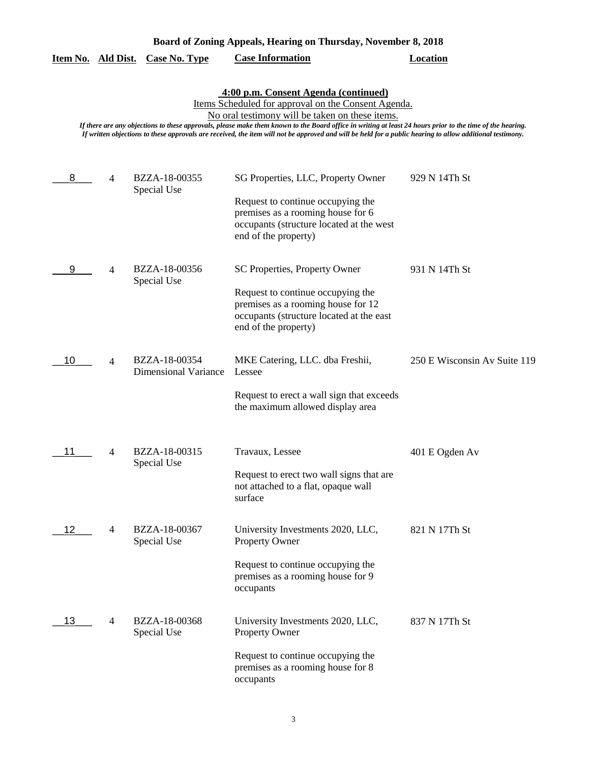|  | Board of Zoning Appeals, Hearing on Thursday, November 8, 2018 |
|--|----------------------------------------------------------------|
|  |                                                                |

| Item No. |  | Ald Dist. Case No. Type | <b>Case Information</b> | Location |
|----------|--|-------------------------|-------------------------|----------|
|----------|--|-------------------------|-------------------------|----------|

### **4:00 p.m. Consent Agenda (continued)**

Items Scheduled for approval on the Consent Agenda.

No oral testimony will be taken on these items.

*If there are any objections to these approvals, please make them known to the Board office in writing at least 24 hours prior to the time of the hearing. If written objections to these approvals are received, the item will not be approved and will be held for a public hearing to allow additional testimony.*

| 8  | 4              | BZZA-18-00355<br>Special Use                 | SG Properties, LLC, Property Owner                                                                                                          | 929 N 14Th St                |
|----|----------------|----------------------------------------------|---------------------------------------------------------------------------------------------------------------------------------------------|------------------------------|
|    |                |                                              | Request to continue occupying the<br>premises as a rooming house for 6<br>occupants (structure located at the west<br>end of the property)  |                              |
| 9  | $\overline{4}$ | BZZA-18-00356<br>Special Use                 | SC Properties, Property Owner                                                                                                               | 931 N 14Th St                |
|    |                |                                              | Request to continue occupying the<br>premises as a rooming house for 12<br>occupants (structure located at the east<br>end of the property) |                              |
| 10 | $\overline{4}$ | BZZA-18-00354<br><b>Dimensional Variance</b> | MKE Catering, LLC. dba Freshii,<br>Lessee                                                                                                   | 250 E Wisconsin Av Suite 119 |
|    |                |                                              | Request to erect a wall sign that exceeds<br>the maximum allowed display area                                                               |                              |
| 11 | 4              | BZZA-18-00315                                | Travaux, Lessee                                                                                                                             | 401 E Ogden Av               |
|    |                | Special Use                                  | Request to erect two wall signs that are<br>not attached to a flat, opaque wall<br>surface                                                  |                              |
| 12 | $\overline{4}$ | BZZA-18-00367<br>Special Use                 | University Investments 2020, LLC,<br>Property Owner                                                                                         | 821 N 17Th St                |
|    |                |                                              | Request to continue occupying the<br>premises as a rooming house for 9<br>occupants                                                         |                              |
| 13 | 4              | BZZA-18-00368<br>Special Use                 | University Investments 2020, LLC,<br>Property Owner                                                                                         | 837 N 17Th St                |
|    |                |                                              | Request to continue occupying the<br>premises as a rooming house for 8<br>occupants                                                         |                              |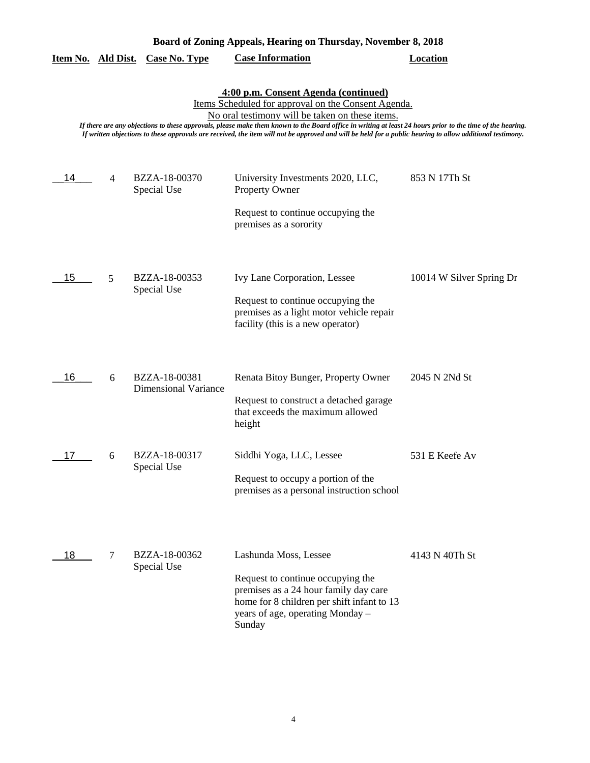|                    |   |                                              | Board of Zoning Appeals, Hearing on Thursday, November 8, 2018                                                                                                                                                                                                                                                                                                                                                                                                           |                          |
|--------------------|---|----------------------------------------------|--------------------------------------------------------------------------------------------------------------------------------------------------------------------------------------------------------------------------------------------------------------------------------------------------------------------------------------------------------------------------------------------------------------------------------------------------------------------------|--------------------------|
| Item No. Ald Dist. |   | <b>Case No. Type</b>                         | <b>Case Information</b>                                                                                                                                                                                                                                                                                                                                                                                                                                                  | <b>Location</b>          |
|                    |   |                                              | 4:00 p.m. Consent Agenda (continued)<br>Items Scheduled for approval on the Consent Agenda.<br>No oral testimony will be taken on these items.<br>If there are any objections to these approvals, please make them known to the Board office in writing at least 24 hours prior to the time of the hearing.<br>If written objections to these approvals are received, the item will not be approved and will be held for a public hearing to allow additional testimony. |                          |
| 14                 | 4 | BZZA-18-00370<br>Special Use                 | University Investments 2020, LLC,<br><b>Property Owner</b>                                                                                                                                                                                                                                                                                                                                                                                                               | 853 N 17Th St            |
|                    |   |                                              | Request to continue occupying the<br>premises as a sorority                                                                                                                                                                                                                                                                                                                                                                                                              |                          |
| 15                 | 5 | BZZA-18-00353                                | Ivy Lane Corporation, Lessee                                                                                                                                                                                                                                                                                                                                                                                                                                             | 10014 W Silver Spring Dr |
|                    |   | Special Use                                  | Request to continue occupying the<br>premises as a light motor vehicle repair<br>facility (this is a new operator)                                                                                                                                                                                                                                                                                                                                                       |                          |
| 16                 | 6 | BZZA-18-00381<br><b>Dimensional Variance</b> | Renata Bitoy Bunger, Property Owner                                                                                                                                                                                                                                                                                                                                                                                                                                      | 2045 N 2Nd St            |
|                    |   |                                              | Request to construct a detached garage<br>that exceeds the maximum allowed<br>height                                                                                                                                                                                                                                                                                                                                                                                     |                          |
| 17                 | 6 | BZZA-18-00317<br>Special Use                 | Siddhi Yoga, LLC, Lessee                                                                                                                                                                                                                                                                                                                                                                                                                                                 | 531 E Keefe Av           |
|                    |   |                                              | Request to occupy a portion of the<br>premises as a personal instruction school                                                                                                                                                                                                                                                                                                                                                                                          |                          |
| 18                 | 7 | BZZA-18-00362<br>Special Use                 | Lashunda Moss, Lessee<br>Request to continue occupying the<br>premises as a 24 hour family day care<br>home for 8 children per shift infant to 13                                                                                                                                                                                                                                                                                                                        | 4143 N 40Th St           |
|                    |   |                                              | years of age, operating Monday -<br>Sunday                                                                                                                                                                                                                                                                                                                                                                                                                               |                          |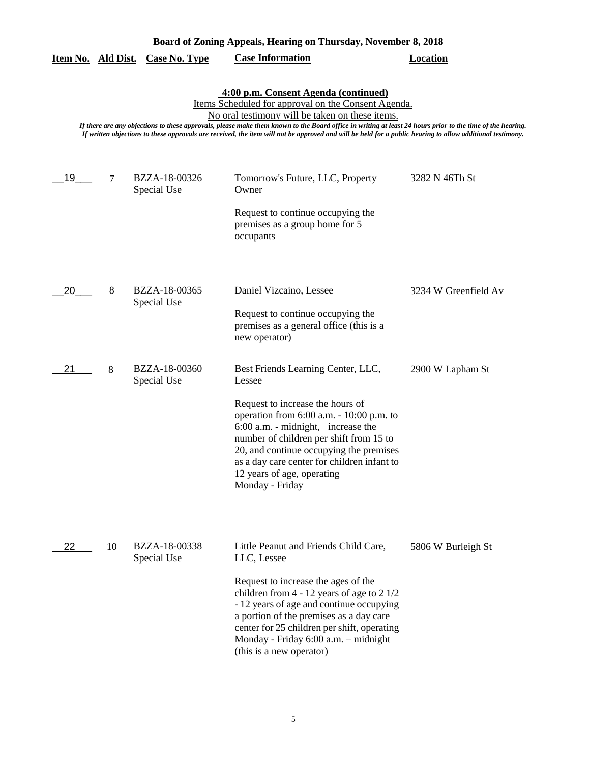|    |    | Item No. Ald Dist. Case No. Type | <b>Case Information</b>                                                                                                                                                                                                                                                                                                                                                                                                                                                  | <b>Location</b>      |
|----|----|----------------------------------|--------------------------------------------------------------------------------------------------------------------------------------------------------------------------------------------------------------------------------------------------------------------------------------------------------------------------------------------------------------------------------------------------------------------------------------------------------------------------|----------------------|
|    |    |                                  | 4:00 p.m. Consent Agenda (continued)<br>Items Scheduled for approval on the Consent Agenda.<br>No oral testimony will be taken on these items.<br>If there are any objections to these approvals, please make them known to the Board office in writing at least 24 hours prior to the time of the hearing.<br>If written objections to these approvals are received, the item will not be approved and will be held for a public hearing to allow additional testimony. |                      |
| 19 | 7  | BZZA-18-00326<br>Special Use     | Tomorrow's Future, LLC, Property<br>Owner<br>Request to continue occupying the<br>premises as a group home for 5<br>occupants                                                                                                                                                                                                                                                                                                                                            | 3282 N 46Th St       |
| 20 | 8  | BZZA-18-00365<br>Special Use     | Daniel Vizcaino, Lessee<br>Request to continue occupying the<br>premises as a general office (this is a<br>new operator)                                                                                                                                                                                                                                                                                                                                                 | 3234 W Greenfield Av |
| 21 | 8  | BZZA-18-00360<br>Special Use     | Best Friends Learning Center, LLC,<br>Lessee<br>Request to increase the hours of<br>operation from $6:00$ a.m. $-10:00$ p.m. to<br>6:00 a.m. - midnight, increase the<br>number of children per shift from 15 to<br>20, and continue occupying the premises<br>as a day care center for children infant to<br>12 years of age, operating<br>Monday - Friday                                                                                                              | 2900 W Lapham St     |
| 22 | 10 | BZZA-18-00338<br>Special Use     | Little Peanut and Friends Child Care,<br>LLC, Lessee<br>Request to increase the ages of the<br>children from $4 - 12$ years of age to $2 \frac{1}{2}$<br>- 12 years of age and continue occupying<br>a portion of the premises as a day care<br>center for 25 children per shift, operating<br>Monday - Friday 6:00 a.m. - midnight<br>(this is a new operator)                                                                                                          | 5806 W Burleigh St   |

**Board of Zoning Appeals, Hearing on Thursday, November 8, 2018**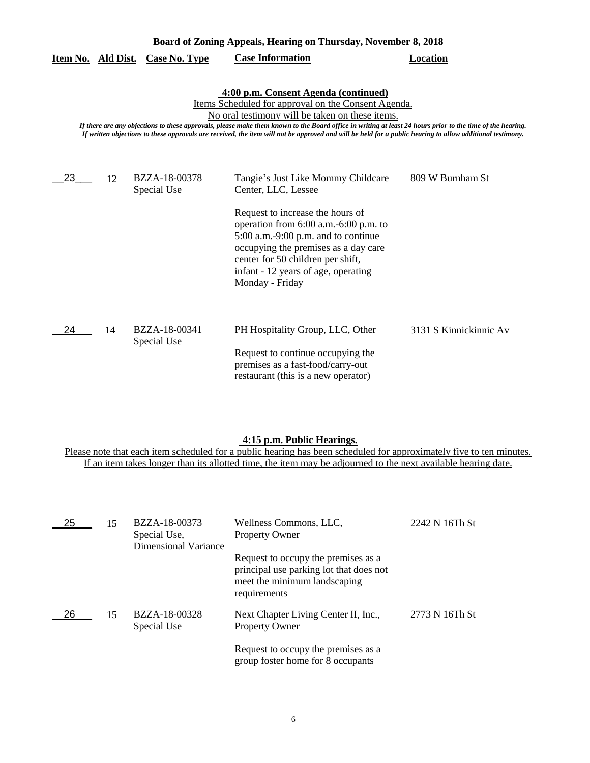| Board of Zoning Appeals, Hearing on Thursday, November 8, 2018 |    |                              |                                                                                                                                                                                                                                                                                                                                                                                                                                                                          |                        |
|----------------------------------------------------------------|----|------------------------------|--------------------------------------------------------------------------------------------------------------------------------------------------------------------------------------------------------------------------------------------------------------------------------------------------------------------------------------------------------------------------------------------------------------------------------------------------------------------------|------------------------|
| <u>Item No. Ald Dist.</u>                                      |    | <b>Case No. Type</b>         | <b>Case Information</b>                                                                                                                                                                                                                                                                                                                                                                                                                                                  | <b>Location</b>        |
|                                                                |    |                              | 4:00 p.m. Consent Agenda (continued)<br>Items Scheduled for approval on the Consent Agenda.<br>No oral testimony will be taken on these items.<br>If there are any objections to these approvals, please make them known to the Board office in writing at least 24 hours prior to the time of the hearing.<br>If written objections to these approvals are received, the item will not be approved and will be held for a public hearing to allow additional testimony. |                        |
| 23                                                             | 12 | BZZA-18-00378<br>Special Use | Tangie's Just Like Mommy Childcare<br>Center, LLC, Lessee                                                                                                                                                                                                                                                                                                                                                                                                                | 809 W Burnham St       |
|                                                                |    |                              | Request to increase the hours of<br>operation from 6:00 a.m.-6:00 p.m. to<br>$5:00$ a.m.-9:00 p.m. and to continue<br>occupying the premises as a day care<br>center for 50 children per shift,<br>infant - 12 years of age, operating<br>Monday - Friday                                                                                                                                                                                                                |                        |
| 24                                                             | 14 | BZZA-18-00341<br>Special Use | PH Hospitality Group, LLC, Other<br>Request to continue occupying the<br>premises as a fast-food/carry-out<br>restaurant (this is a new operator)                                                                                                                                                                                                                                                                                                                        | 3131 S Kinnickinnic Av |

# **4:15 p.m. Public Hearings.**

Please note that each item scheduled for a public hearing has been scheduled for approximately five to ten minutes. If an item takes longer than its allotted time, the item may be adjourned to the next available hearing date.

| 25 | 15 | BZZA-18-00373<br>Special Use,<br><b>Dimensional Variance</b> | Wellness Commons, LLC,<br><b>Property Owner</b>                                                                                | 2242 N 16Th St |
|----|----|--------------------------------------------------------------|--------------------------------------------------------------------------------------------------------------------------------|----------------|
|    |    |                                                              | Request to occupy the premises as a<br>principal use parking lot that does not<br>meet the minimum landscaping<br>requirements |                |
| 26 | 15 | BZZA-18-00328<br>Special Use                                 | Next Chapter Living Center II, Inc.,<br><b>Property Owner</b>                                                                  | 2773 N 16Th St |
|    |    |                                                              | Request to occupy the premises as a<br>group foster home for 8 occupants                                                       |                |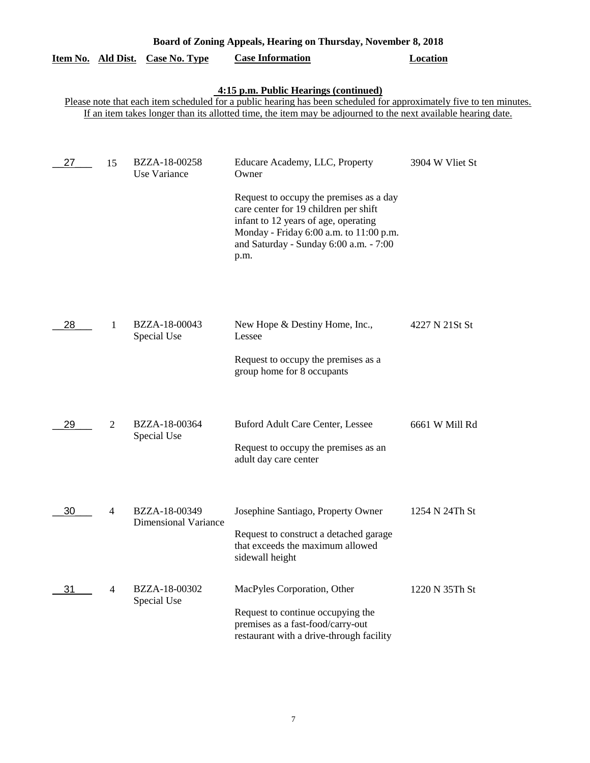| Board of Zoning Appeals, Hearing on Thursday, November 8, 2018 |    |                                              |                                                                                                                                                                                                                                                                               |                 |
|----------------------------------------------------------------|----|----------------------------------------------|-------------------------------------------------------------------------------------------------------------------------------------------------------------------------------------------------------------------------------------------------------------------------------|-----------------|
| Item No. Ald Dist.                                             |    | <b>Case No. Type</b>                         | <b>Case Information</b>                                                                                                                                                                                                                                                       | <b>Location</b> |
|                                                                |    |                                              | 4:15 p.m. Public Hearings (continued)<br>Please note that each item scheduled for a public hearing has been scheduled for approximately five to ten minutes.<br>If an item takes longer than its allotted time, the item may be adjourned to the next available hearing date. |                 |
| 27                                                             | 15 | BZZA-18-00258<br>Use Variance                | Educare Academy, LLC, Property<br>Owner<br>Request to occupy the premises as a day<br>care center for 19 children per shift<br>infant to 12 years of age, operating<br>Monday - Friday 6:00 a.m. to 11:00 p.m.<br>and Saturday - Sunday 6:00 a.m. - 7:00<br>p.m.              | 3904 W Vliet St |
| 28                                                             | 1  | BZZA-18-00043<br>Special Use                 | New Hope & Destiny Home, Inc.,<br>Lessee<br>Request to occupy the premises as a<br>group home for 8 occupants                                                                                                                                                                 | 4227 N 21St St  |
| 29                                                             | 2  | BZZA-18-00364<br>Special Use                 | Buford Adult Care Center, Lessee<br>Request to occupy the premises as an<br>adult day care center                                                                                                                                                                             | 6661 W Mill Rd  |
| 30                                                             | 4  | BZZA-18-00349<br><b>Dimensional Variance</b> | Josephine Santiago, Property Owner<br>Request to construct a detached garage<br>that exceeds the maximum allowed<br>sidewall height                                                                                                                                           | 1254 N 24Th St  |
| 31                                                             | 4  | BZZA-18-00302<br>Special Use                 | MacPyles Corporation, Other<br>Request to continue occupying the<br>premises as a fast-food/carry-out<br>restaurant with a drive-through facility                                                                                                                             | 1220 N 35Th St  |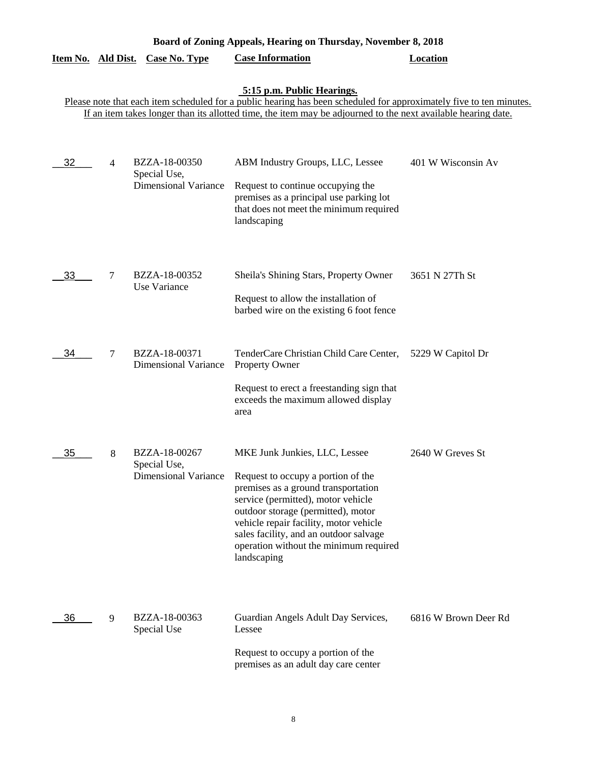|                    | Board of Zoning Appeals, Hearing on Thursday, November 8, 2018 |                                                              |                                                                                                                                                                                                                                                                                                                                     |                      |  |  |
|--------------------|----------------------------------------------------------------|--------------------------------------------------------------|-------------------------------------------------------------------------------------------------------------------------------------------------------------------------------------------------------------------------------------------------------------------------------------------------------------------------------------|----------------------|--|--|
| Item No. Ald Dist. |                                                                | <b>Case No. Type</b>                                         | <b>Case Information</b>                                                                                                                                                                                                                                                                                                             | <b>Location</b>      |  |  |
|                    |                                                                |                                                              | 5:15 p.m. Public Hearings.<br>Please note that each item scheduled for a public hearing has been scheduled for approximately five to ten minutes.<br>If an item takes longer than its allotted time, the item may be adjourned to the next available hearing date.                                                                  |                      |  |  |
| 32                 | 4                                                              | BZZA-18-00350<br>Special Use,<br><b>Dimensional Variance</b> | ABM Industry Groups, LLC, Lessee<br>Request to continue occupying the<br>premises as a principal use parking lot<br>that does not meet the minimum required<br>landscaping                                                                                                                                                          | 401 W Wisconsin Av   |  |  |
| 33                 | 7                                                              | BZZA-18-00352<br>Use Variance                                | Sheila's Shining Stars, Property Owner<br>Request to allow the installation of<br>barbed wire on the existing 6 foot fence                                                                                                                                                                                                          | 3651 N 27Th St       |  |  |
| 34                 | $\overline{7}$                                                 | BZZA-18-00371<br><b>Dimensional Variance</b>                 | TenderCare Christian Child Care Center,<br>Property Owner<br>Request to erect a freestanding sign that<br>exceeds the maximum allowed display<br>area                                                                                                                                                                               | 5229 W Capitol Dr    |  |  |
| 35                 | 8                                                              | BZZA-18-00267<br>Special Use,<br><b>Dimensional Variance</b> | MKE Junk Junkies, LLC, Lessee<br>Request to occupy a portion of the<br>premises as a ground transportation<br>service (permitted), motor vehicle<br>outdoor storage (permitted), motor<br>vehicle repair facility, motor vehicle<br>sales facility, and an outdoor salvage<br>operation without the minimum required<br>landscaping | 2640 W Greves St     |  |  |
| 36                 | 9                                                              | BZZA-18-00363<br>Special Use                                 | Guardian Angels Adult Day Services,<br>Lessee<br>Request to occupy a portion of the<br>premises as an adult day care center                                                                                                                                                                                                         | 6816 W Brown Deer Rd |  |  |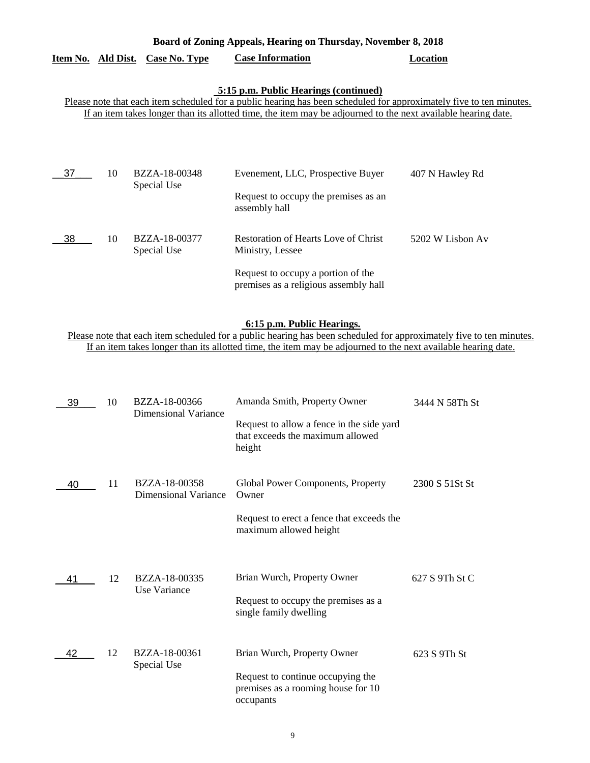|                                  | Board of Zoning Appeals, Hearing on Thursday, November 8, 2018 |          |
|----------------------------------|----------------------------------------------------------------|----------|
| Item No. Ald Dist. Case No. Type | <b>Case Information</b>                                        | Location |

## **5:15 p.m. Public Hearings (continued)**

Please note that each item scheduled for a public hearing has been scheduled for approximately five to ten minutes. If an item takes longer than its allotted time, the item may be adjourned to the next available hearing date.

| 37  | 10 | BZZA-18-00348<br>Special Use        | Evenement, LLC, Prospective Buyer                                           | 407 N Hawley Rd  |
|-----|----|-------------------------------------|-----------------------------------------------------------------------------|------------------|
|     |    |                                     | Request to occupy the premises as an<br>assembly hall                       |                  |
| -38 | 10 | <b>BZZA-18-00377</b><br>Special Use | <b>Restoration of Hearts Love of Christ</b><br>Ministry, Lessee             | 5202 W Lisbon Av |
|     |    |                                     | Request to occupy a portion of the<br>premises as a religious assembly hall |                  |

### **6:15 p.m. Public Hearings.**

Please note that each item scheduled for a public hearing has been scheduled for approximately five to ten minutes. If an item takes longer than its allotted time, the item may be adjourned to the next available hearing date.

| 39 | 10 | BZZA-18-00366<br>Dimensional Variance        | Amanda Smith, Property Owner<br>Request to allow a fence in the side yard<br>that exceeds the maximum allowed<br>height | 3444 N 58Th St  |
|----|----|----------------------------------------------|-------------------------------------------------------------------------------------------------------------------------|-----------------|
| 40 | 11 | BZZA-18-00358<br><b>Dimensional Variance</b> | Global Power Components, Property<br>Owner                                                                              | 2300 S 51 St St |
|    |    |                                              | Request to erect a fence that exceeds the<br>maximum allowed height                                                     |                 |
| 41 | 12 | BZZA-18-00335<br>Use Variance                | Brian Wurch, Property Owner                                                                                             | 627 S 9Th St C  |
|    |    |                                              | Request to occupy the premises as a<br>single family dwelling                                                           |                 |
| 42 | 12 | BZZA-18-00361<br>Special Use                 | Brian Wurch, Property Owner                                                                                             | 623 S 9Th St    |
|    |    |                                              | Request to continue occupying the<br>premises as a rooming house for 10<br>occupants                                    |                 |